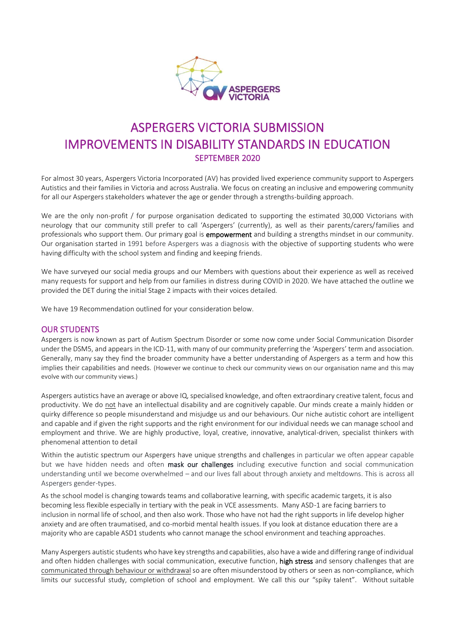

# ASPERGERS VICTORIA SUBMISSION IMPROVEMENTS IN DISABILITY STANDARDS IN EDUCATION SEPTEMBER 2020

For almost 30 years, Aspergers Victoria Incorporated (AV) has provided lived experience community support to Aspergers Autistics and their families in Victoria and across Australia. We focus on creating an inclusive and empowering community for all our Aspergers stakeholders whatever the age or gender through a strengths-building approach.

We are the only non-profit / for purpose organisation dedicated to supporting the estimated 30,000 Victorians with neurology that our community still prefer to call 'Aspergers' (currently), as well as their parents/carers/families and professionals who support them. Our primary goal is empowerment and building a strengths mindset in our community. Our organisation started in 1991 before Aspergers was a diagnosis with the objective of supporting students who were having difficulty with the school system and finding and keeping friends.

We have surveyed our social media groups and our Members with questions about their experience as well as received many requests for support and help from our families in distress during COVID in 2020. We have attached the outline we provided the DET during the initial Stage 2 impacts with their voices detailed.

We have 19 Recommendation outlined for your consideration below.

#### OUR STUDENTS

Aspergers is now known as part of Autism Spectrum Disorder or some now come under Social Communication Disorder under the DSM5, and appears in the ICD-11, with many of our community preferring the 'Aspergers' term and association. Generally, many say they find the broader community have a better understanding of Aspergers as a term and how this implies their capabilities and needs. (However we continue to check our community views on our organisation name and this may evolve with our community views.)

Aspergers autistics have an average or above IQ, specialised knowledge, and often extraordinary creative talent, focus and productivity. We do not have an intellectual disability and are cognitively capable. Our minds create a mainly hidden or quirky difference so people misunderstand and misjudge us and our behaviours. Our niche autistic cohort are intelligent and capable and if given the right supports and the right environment for our individual needs we can manage school and employment and thrive. We are highly productive, loyal, creative, innovative, analytical-driven, specialist thinkers with phenomenal attention to detail

Within the autistic spectrum our Aspergers have unique strengths and challenges in particular we often appear capable but we have hidden needs and often mask our challenges including executive function and social communication understanding until we become overwhelmed – and our lives fall about through anxiety and meltdowns. This is across all Aspergers gender-types.

As the school model is changing towards teams and collaborative learning, with specific academic targets, it is also becoming less flexible especially in tertiary with the peak in VCE assessments. Many ASD-1 are facing barriers to inclusion in normal life of school, and then also work. Those who have not had the right supports in life develop higher anxiety and are often traumatised, and co-morbid mental health issues. If you look at distance education there are a majority who are capable ASD1 students who cannot manage the school environment and teaching approaches.

Many Aspergers autistic students who have key strengths and capabilities, also have a wide and differing range of individual and often hidden challenges with social communication, executive function, high stress and sensory challenges that are communicated through behaviour or withdrawal so are often misunderstood by others or seen as non-compliance, which limits our successful study, completion of school and employment. We call this our "spiky talent". Without suitable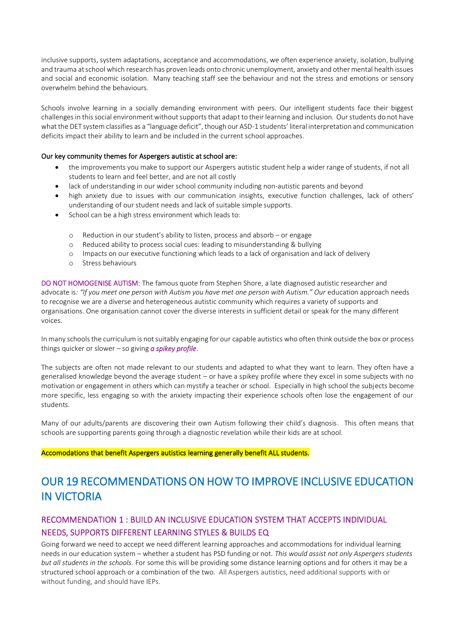inclusive supports, system adaptations, acceptance and accommodations, we often experience anxiety, isolation, bullying and trauma at school which research has proven leads onto chronic unemployment, anxiety and other mental health issues and social and economic isolation. Many teaching staff see the behaviour and not the stress and emotions or sensory overwhelm behind the behaviours.

Schools involve learning in a socially demanding environment with peers. Our intelligent students face their biggest challenges in this social environment without supports that adapt to their learning and inclusion. Our students do not have what the DET system classifies as a "language deficit", though our ASD-1 students' literal interpretation and communication deficits impact their ability to learn and be included in the current school approaches.

#### Our key community themes for Aspergers autistic at school are:

- the improvements you make to support our Aspergers autistic student help a wider range of students, if not all students to learn and feel better, and are not all costly
- lack of understanding in our wider school community including non-autistic parents and beyond
- high anxiety due to issues with our communication insights, executive function challenges, lack of others' understanding of our student needs and lack of suitable simple supports.
- School can be a high stress environment which leads to:
	- o Reduction in our student's ability to listen, process and absorb or engage
	- o Reduced ability to process social cues: leading to misunderstanding & bullying
	- o Impacts on our executive functioning which leads to a lack of organisation and lack of delivery
	- o Stress behaviours

DO NOT HOMOGENISE AUTISM: The famous quote from Stephen Shore, a late diagnosed autistic researcher and advocate is: "If you meet one person with Autism you have met one person with Autism." Our education approach needs to recognise we are a diverse and heterogeneous autistic community which requires a variety of supports and organisations. One organisation cannot cover the diverse interests in sufficient detail or speak for the many different voices.

In many schools the curriculum is not suitably engaging for our capable autistics who often think outside the box or process things quicker or slower – so giving *a spikey profile*.

The subjects are often not made relevant to our students and adapted to what they want to learn. They often have a generalised knowledge beyond the average student – or have a spikey profile where they excel in some subjects with no motivation or engagement in others which can mystify a teacher or school. Especially in high school the subjects become more specific, less engaging so with the anxiety impacting their experience schools often lose the engagement of our students.

Many of our adults/parents are discovering their own Autism following their child's diagnosis. This often means that schools are supporting parents going through a diagnostic revelation while their kids are at school.

#### Accomodations that benefit Aspergers autistics learning generally benefit ALL students.

# OUR 19 RECOMMENDATIONS ON HOW TO IMPROVE INCLUSIVE EDUCATION IN VICTORIA

## RECOMMENDATION 1 : BUILD AN INCLUSIVE EDUCATION SYSTEM THAT ACCEPTS INDIVIDUAL NEEDS, SUPPORTS DIFFERENT LEARNING STYLES & BUILDS EQ

Going forward we need to accept we need different learning approaches and accommodations for individual learning needs in our education system – whether a student has PSD funding or not. *This would assist not only Aspergers students but all students in the schools.* For some this will be providing some distance learning options and for others it may be a structured school approach or a combination of the two. All Aspergers autistics, need additional supports with or without funding, and should have IEPs.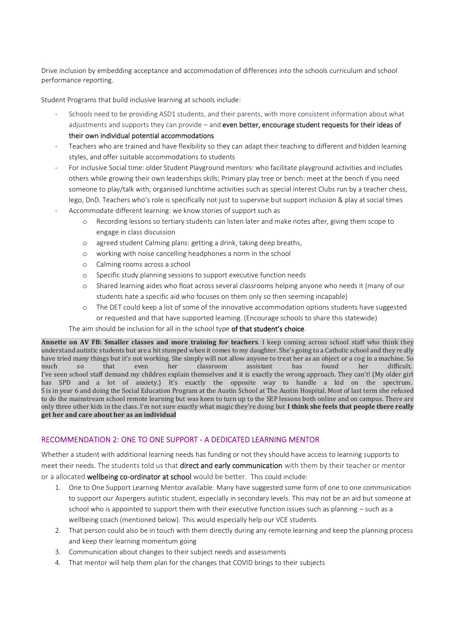Drive inclusion by embedding acceptance and accommodation of differences into the schools curriculum and school performance reporting.

Student Programs that build inclusive learning at schools include:

- Schools need to be providing ASD1 students, and their parents, with more consistent information about what adjustments and supports they can provide – and even better, encourage student requests for their ideas of their own individual potential accommodations
- Teachers who are trained and have flexibility so they can adapt their teaching to different and hidden learning styles, and offer suitable accommodations to students
- For inclusive Social time: older Student Playground mentors: who facilitate playground activities and includes others while growing their own leaderships skills; Primary play tree or bench: meet at the bench if you need someone to play/talk with; organised lunchtime activities such as special interest Clubs run by a teacher chess, lego, DnD. Teachers who's role is specifically not just to supervise but support inclusion & play at social times
- Accommodate different learning: we know stories of support such as
	- o Recording lessons so tertiary students can listen later and make notes after, giving them scope to engage in class discussion
	- o agreed student Calming plans: getting a drink, taking deep breaths,
	- o working with noise cancelling headphones a norm in the school
	- o Calming rooms across a school
	- o Specific study planning sessions to support executive function needs
	- o Shared learning aides who float across several classrooms helping anyone who needs it (many of our students hate a specific aid who focuses on them only so then seeming incapable)
	- o The DET could keep a list of some of the innovative accommodation options students have suggested or requested and that have supported learning. (Encourage schools to share this statewide)

The aim should be inclusion for all in the school type of that student's choice.

**Annette on AV FB: Smaller classes and more training for teachers**. I keep coming across school staff who think they understand autistic students but are a bit stumped when it comes to my daughter. She's going to a Catholic school and they really have tried many things but it's not working. She simply will not allow anyone to treat her as an object or a cog in a machine. So much so that even her classroom assistant has found her difficult. I've seen school staff demand my children explain themselves and it is exactly the wrong approach. They can't! (My older girl has SPD and a lot of anxiety.) It's exactly the opposite way to handle a kid on the spectrum. S is in year 6 and doing the Social Education Program at the Austin School at The Austin Hospital. Most of last term she refused to do the mainstream school remote learning but was keen to turn up to the SEP lessons both online and on campus. There are only three other kids in the class. I'm not sure exactly what magic they're doing but **I think she feels that people there really get her and care about her as an individual**

#### RECOMMENDATION 2: ONE TO ONE SUPPORT - A DEDICATED LEARNING MENTOR

Whether a student with additional learning needs has funding or not they should have access to learning supports to meet their needs. The students told us that **direct and early communication** with them by their teacher or mentor or a allocated wellbeing co-ordinator at school would be better. This could include:

- 1. One to One Support Learning Mentor available: Many have suggested some form of one to one communication to support our Aspergers autistic student, especially in secondary levels. This may not be an aid but someone at school who is appointed to support them with their executive function issues such as planning – such as a wellbeing coach (mentioned below). This would especially help our VCE students.
- 2. That person could also be in touch with them directly during any remote learning and keep the planning process and keep their learning momentum going
- 3. Communication about changes to their subject needs and assessments
- 4. That mentor will help them plan for the changes that COVID brings to their subjects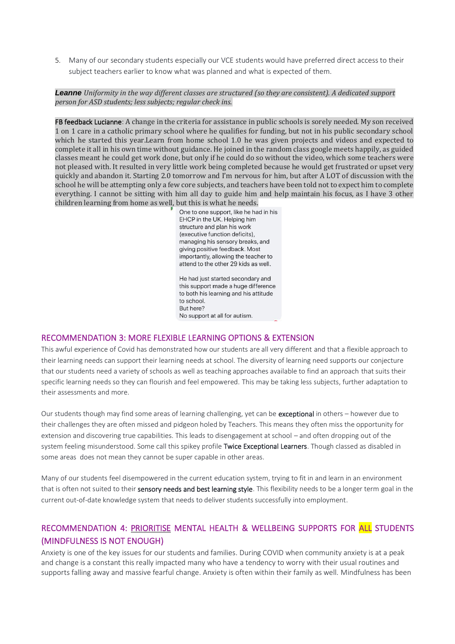5. Many of our secondary students especially our VCE students would have preferred direct access to their subject teachers earlier to know what was planned and what is expected of them.

*Leanne Uniformity in the way different classes are structured (so they are consistent). A dedicated support person for ASD students; less subjects; regular check ins.*

FB feedback Lucianne: A change in the criteria for assistance in public schools is sorely needed. My son received 1 on 1 care in a catholic primary school where he qualifies for funding, but not in his public secondary school which he started this year.Learn from home school 1.0 he was given projects and videos and expected to complete it all in his own time without guidance. He joined in the random class google meets happily, as guided classes meant he could get work done, but only if he could do so without the video, which some teachers were not pleased with. It resulted in very little work being completed because he would get frustrated or upset very quickly and abandon it. Starting 2.0 tomorrow and I'm nervous for him, but after A LOT of discussion with the school he will be attempting only a few core subjects, and teachers have been told not to expect him to complete everything. I cannot be sitting with him all day to guide him and help maintain his focus, as I have 3 other children learning from home as well, but this is what he needs.

> One to one support, like he had in his EHCP in the UK. Helping him structure and plan his work (executive function deficits), managing his sensory breaks, and giving positive feedback. Most importantly, allowing the teacher to attend to the other 29 kids as well. He had just started secondary and

this support made a huge difference to both his learning and his attitude to school. Rut here? No support at all for autism.

#### RECOMMENDATION 3: MORE FLEXIBLE LEARNING OPTIONS & EXTENSION

This awful experience of Covid has demonstrated how our students are all very different and that a flexible approach to their learning needs can support their learning needs at school. The diversity of learning need supports our conjecture that our students need a variety of schools as well as teaching approaches available to find an approach that suits their specific learning needs so they can flourish and feel empowered. This may be taking less subjects, further adaptation to their assessments and more.

Our students though may find some areas of learning challenging, yet can be exceptional in others – however due to their challenges they are often missed and pidgeon holed by Teachers. This means they often miss the opportunity for extension and discovering true capabilities. This leads to disengagement at school – and often dropping out of the system feeling misunderstood. Some call this spikey profile Twice Exceptional Learners. Though classed as disabled in some areas does not mean they cannot be super capable in other areas.

Many of our students feel disempowered in the current education system, trying to fit in and learn in an environment that is often not suited to their sensory needs and best learning style. This flexibility needs to be a longer term goal in the current out-of-date knowledge system that needs to deliver students successfully into employment.

## RECOMMENDATION 4: PRIORITISE MENTAL HEALTH & WELLBEING SUPPORTS FOR ALL STUDENTS (MINDFULNESS IS NOT ENOUGH)

Anxiety is one of the key issues for our students and families. During COVID when community anxiety is at a peak and change is a constant this really impacted many who have a tendency to worry with their usual routines and supports falling away and massive fearful change. Anxiety is often within their family as well. Mindfulness has been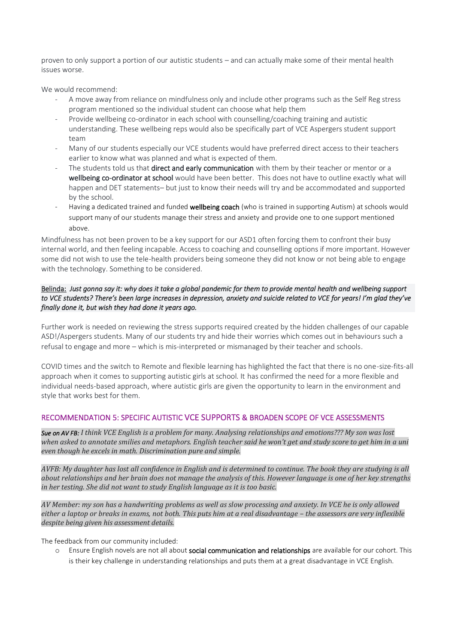proven to only support a portion of our autistic students – and can actually make some of their mental health issues worse.

We would recommend:

- A move away from reliance on mindfulness only and include other programs such as the Self Reg stress program mentioned so the individual student can choose what help them
- Provide wellbeing co-ordinator in each school with counselling/coaching training and autistic understanding. These wellbeing reps would also be specifically part of VCE Aspergers student support team
- Many of our students especially our VCE students would have preferred direct access to their teachers earlier to know what was planned and what is expected of them.
- The students told us that direct and early communication with them by their teacher or mentor or a wellbeing co-ordinator at school would have been better. This does not have to outline exactly what will happen and DET statements– but just to know their needs will try and be accommodated and supported by the school.
- Having a dedicated trained and funded wellbeing coach (who is trained in supporting Autism) at schools would support many of our students manage their stress and anxiety and provide one to one support mentioned above.

Mindfulness has not been proven to be a key support for our ASD1 often forcing them to confront their busy internal world, and then feeling incapable. Access to coaching and counselling options if more important. However some did not wish to use the tele-health providers being someone they did not know or not being able to engage with the technology. Something to be considered.

#### Belinda: *Just gonna say it: why does it take a global pandemic for them to provide mental health and wellbeing support to VCE students? There's been large increases in depression, anxiety and suicide related to VCE for years! I'm glad they've finally done it, but wish they had done it years ago.*

Further work is needed on reviewing the stress supports required created by the hidden challenges of our capable ASD!/Aspergers students. Many of our students try and hide their worries which comes out in behaviours such a refusal to engage and more – which is mis-interpreted or mismanaged by their teacher and schools.

COVID times and the switch to Remote and flexible learning has highlighted the fact that there is no one-size-fits-all approach when it comes to supporting autistic girls at school. It has confirmed the need for a more flexible and individual needs-based approach, where autistic girls are given the opportunity to learn in the environment and style that works best for them.

### RECOMMENDATION 5: SPECIFIC AUTISTIC VCE SUPPORTS & BROADEN SCOPE OF VCE ASSESSMENTS

*Sue on AV FB: I think VCE English is a problem for many. Analysing relationships and emotions??? My son was lost when asked to annotate smilies and metaphors. English teacher said he won't get and study score to get him in a uni even though he excels in math. Discrimination pure and simple.*

*AVFB: My daughter has lost all confidence in English and is determined to continue. The book they are studying is all about relationships and her brain does not manage the analysis of this. However language is one of her key strengths in her testing. She did not want to study English language as it is too basic.* 

*AV Member: my son has a handwriting problems as well as slow processing and anxiety. In VCE he is only allowed*  either a laptop or breaks in exams, not both. This puts him at a real disadvantage - the assessors are very inflexible *despite being given his assessment details.* 

The feedback from our community included:

o Ensure English novels are not all about social communication and relationships are available for our cohort. This is their key challenge in understanding relationships and puts them at a great disadvantage in VCE English.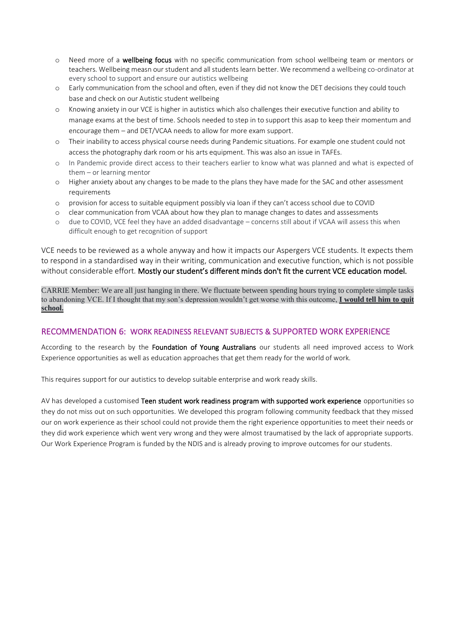- o Need more of a wellbeing focus with no specific communication from school wellbeing team or mentors or teachers. Wellbeing measn our student and all students learn better. We recommend a wellbeing co-ordinator at every school to support and ensure our autistics wellbeing
- o Early communication from the school and often, even if they did not know the DET decisions they could touch base and check on our Autistic student wellbeing
- o Knowing anxiety in our VCE is higher in autistics which also challenges their executive function and ability to manage exams at the best of time. Schools needed to step in to support this asap to keep their momentum and encourage them – and DET/VCAA needs to allow for more exam support.
- o Their inability to access physical course needs during Pandemic situations. For example one student could not access the photography dark room or his arts equipment. This was also an issue in TAFEs.
- o In Pandemic provide direct access to their teachers earlier to know what was planned and what is expected of them – or learning mentor
- o Higher anxiety about any changes to be made to the plans they have made for the SAC and other assessment requirements
- o provision for access to suitable equipment possibly via loan if they can't access school due to COVID
- o clear communication from VCAA about how they plan to manage changes to dates and asssessments
- o due to COVID, VCE feel they have an added disadvantage concerns still about if VCAA will assess this when difficult enough to get recognition of support

VCE needs to be reviewed as a whole anyway and how it impacts our Aspergers VCE students. It expects them to respond in a standardised way in their writing, communication and executive function, which is not possible without considerable effort. Mostly our student's different minds don't fit the current VCE education model.

CARRIE Member: We are all just hanging in there. We fluctuate between spending hours trying to complete simple tasks to abandoning VCE. If I thought that my son's depression wouldn't get worse with this outcome, **I would tell him to quit school.**

### RECOMMENDATION 6: WORK READINESS RELEVANT SUBJECTS & SUPPORTED WORK EXPERIENCE

According to the research by the Foundation of Young Australians our students all need improved access to Work Experience opportunities as well as education approaches that get them ready for the world of work.

This requires support for our autistics to develop suitable enterprise and work ready skills.

AV has developed a customised Teen student work readiness program with supported work experience opportunities so they do not miss out on such opportunities. We developed this program following community feedback that they missed our on work experience as their school could not provide them the right experience opportunities to meet their needs or they did work experience which went very wrong and they were almost traumatised by the lack of appropriate supports. Our Work Experience Program is funded by the NDIS and is already proving to improve outcomes for our students.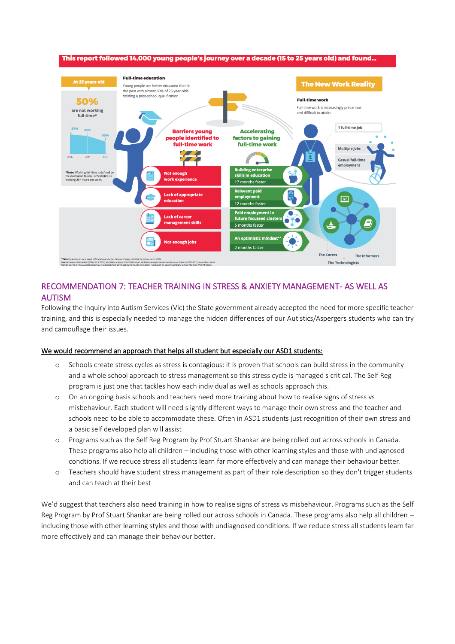

## RECOMMENDATION 7: TEACHER TRAINING IN STRESS & ANXIETY MANAGEMENT- AS WELL AS AUTISM

Following the Inquiry into Autism Services (Vic) the State government already accepted the need for more specific teacher training, and this is especially needed to manage the hidden differences of our Autistics/Aspergers students who can try and camouflage their issues.

#### We would recommend an approach that helps all student but especially our ASD1 students:

- o Schools create stress cycles as stress is contagious: it is proven that schools can build stress in the community and a whole school approach to stress management so this stress cycle is managed s critical. The Self Reg program is just one that tackles how each individual as well as schools approach this.
- On an ongoing basis schools and teachers need more training about how to realise signs of stress vs misbehaviour. Each student will need slightly different ways to manage their own stress and the teacher and schools need to be able to accommodate these. Often in ASD1 students just recognition of their own stress and a basic self developed plan will assist
- Programs such as the Self Reg Program by Prof Stuart Shankar are being rolled out across schools in Canada. These programs also help all children – including those with other learning styles and those with undiagnosed condtions. If we reduce stress all students learn far more effectively and can manage their behaviour better.
- o Teachers should have student stress management as part of their role description so they don't trigger students and can teach at their best

We'd suggest that teachers also need training in how to realise signs of stress vs misbehaviour. Programs such as the Self Reg Program by Prof Stuart Shankar are being rolled our across schools in Canada. These programs also help all children – including those with other learning styles and those with undiagnosed conditions. If we reduce stress all students learn far more effectively and can manage their behaviour better.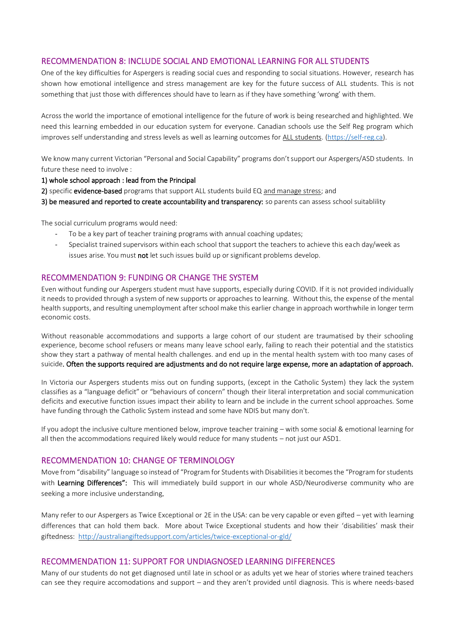### RECOMMENDATION 8: INCLUDE SOCIAL AND EMOTIONAL LEARNING FOR ALL STUDENTS

One of the key difficulties for Aspergers is reading social cues and responding to social situations. However, research has shown how emotional intelligence and stress management are key for the future success of ALL students. This is not something that just those with differences should have to learn as if they have something 'wrong' with them.

Across the world the importance of emotional intelligence for the future of work is being researched and highlighted. We need this learning embedded in our education system for everyone. Canadian schools use the Self Reg program which improves self understanding and stress levels as well as learning outcomes for ALL students. [\(https://self-reg.ca\)](https://self-reg.ca/).

We know many current Victorian "Personal and Social Capability" programs don't support our Aspergers/ASD students. In future these need to involve :

#### 1) whole school approach : lead from the Principal

2) specific evidence-based programs that support ALL students build EQ and manage stress; and

3) be measured and reported to create accountability and transparency: so parents can assess school suitablility

The social curriculum programs would need:

- To be a key part of teacher training programs with annual coaching updates;
- Specialist trained supervisors within each school that support the teachers to achieve this each day/week as issues arise. You must not let such issues build up or significant problems develop.

#### RECOMMENDATION 9: FUNDING OR CHANGE THE SYSTEM

Even without funding our Aspergers student must have supports, especially during COVID. If it is not provided individually it needs to provided through a system of new supports or approaches to learning. Without this, the expense of the mental health supports, and resulting unemployment after school make this earlier change in approach worthwhile in longer term economic costs.

Without reasonable accommodations and supports a large cohort of our student are traumatised by their schooling experience, become school refusers or means many leave school early, failing to reach their potential and the statistics show they start a pathway of mental health challenges. and end up in the mental health system with too many cases of suicide. Often the supports required are adjustments and do not require large expense, more an adaptation of approach.

In Victoria our Aspergers students miss out on funding supports, (except in the Catholic System) they lack the system classifies as a "language deficit" or "behaviours of concern" though their literal interpretation and social communication deficits and executive function issues impact their ability to learn and be include in the current school approaches. Some have funding through the Catholic System instead and some have NDIS but many don't.

If you adopt the inclusive culture mentioned below, improve teacher training – with some social & emotional learning for all then the accommodations required likely would reduce for many students – not just our ASD1.

#### RECOMMENDATION 10: CHANGE OF TERMINOLOGY

Move from "disability" language so instead of "Program for Students with Disabilities it becomes the "Program for students with Learning Differences": This will immediately build support in our whole ASD/Neurodiverse community who are seeking a more inclusive understanding*.*

Many refer to our Aspergers as Twice Exceptional or 2E in the USA: can be very capable or even gifted – yet with learning differences that can hold them back. More about Twice Exceptional students and how their 'disabilities' mask their giftedness:<http://australiangiftedsupport.com/articles/twice-exceptional-or-gld/>

#### RECOMMENDATION 11: SUPPORT FOR UNDIAGNOSED LEARNING DIFFERENCES

Many of our students do not get diagnosed until late in school or as adults yet we hear of stories where trained teachers can see they require accomodations and support – and they aren't provided until diagnosis. This is where needs-based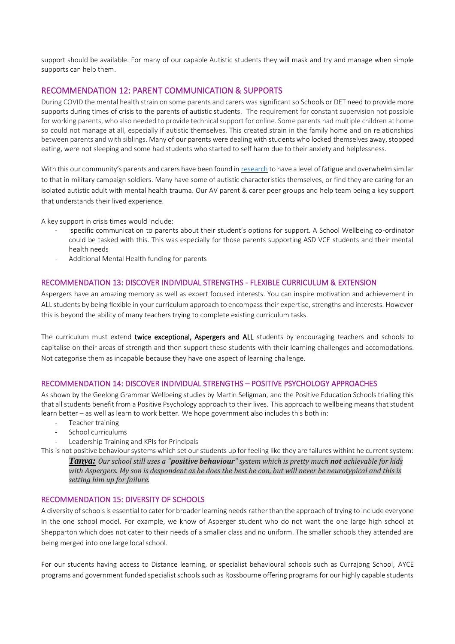support should be available. For many of our capable Autistic students they will mask and try and manage when simple supports can help them.

### RECOMMENDATION 12: PARENT COMMUNICATION & SUPPORTS

During COVID the mental health strain on some parents and carers was significant so Schools or DET need to provide more supports during times of crisis to the parents of autistic students. The requirement for constant supervision not possible for working parents, who also needed to provide technical support for online. Some parents had multiple children at home so could not manage at all, especially if autistic themselves. This created strain in the family home and on relationships between parents and with siblings. Many of our parents were dealing with students who locked themselves away, stopped eating, were not sleeping and some had students who started to self harm due to their anxiety and helplessness.

With this our community's parents and carers have been found in [research](https://www.researchgate.net/publication/336161522_Battle_WearyBattle_Ready_A_Phenomenological_Study_of_Parents%27_Lived_Experiences_Caring_for_Children_with_Autism_and_Their_Safety_Concerns) to have a level of fatigue and overwhelm similar to that in military campaign soldiers. Many have some of autistic characteristics themselves, or find they are caring for an isolated autistic adult with mental health trauma. Our AV parent & carer peer groups and help team being a key support that understands their lived experience.

A key support in crisis times would include:

- specific communication to parents about their student's options for support. A School Wellbeing co-ordinator could be tasked with this. This was especially for those parents supporting ASD VCE students and their mental health needs
- Additional Mental Health funding for parents

#### RECOMMENDATION 13: DISCOVER INDIVIDUAL STRENGTHS - FLEXIBLE CURRICULUM & EXTENSION

Aspergers have an amazing memory as well as expert focused interests. You can inspire motivation and achievement in ALL students by being flexible in your curriculum approach to encompass their expertise, strengths and interests. However this is beyond the ability of many teachers trying to complete existing curriculum tasks.

The curriculum must extend twice exceptional, Aspergers and ALL students by encouraging teachers and schools to capitalise on their areas of strength and then support these students with their learning challenges and accomodations. Not categorise them as incapable because they have one aspect of learning challenge.

#### RECOMMENDATION 14: DISCOVER INDIVIDUAL STRENGTHS – POSITIVE PSYCHOLOGY APPROACHES

As shown by the Geelong Grammar Wellbeing studies by Martin Seligman, and the Positive Education Schools trialling this that all students benefit from a Positive Psychology approach to their lives. This approach to wellbeing means that student learn better – as well as learn to work better. We hope government also includes this both in:

- Teacher training
- School curriculums
- Leadership Training and KPIs for Principals

This is not positive behaviour systems which set our students up for feeling like they are failures withint he current system:

*Tanya: Our school still uses a "positive behaviour" system which is pretty much not achievable for kids with Aspergers. My son is despondent as he does the best he can, but will never be neurotypical and this is setting him up for failure.*

#### RECOMMENDATION 15: DIVERSITY OF SCHOOLS

A diversity of schools is essential to cater for broader learning needs rather than the approach of trying to include everyone in the one school model. For example, we know of Asperger student who do not want the one large high school at Shepparton which does not cater to their needs of a smaller class and no uniform. The smaller schools they attended are being merged into one large local school.

For our students having access to Distance learning, or specialist behavioural schools such as Currajong School, AYCE programs and government funded specialist schools such as Rossbourne offering programs for our highly capable students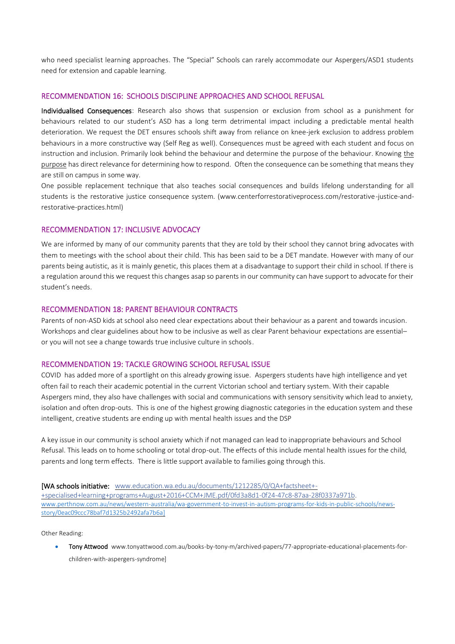who need specialist learning approaches. The "Special" Schools can rarely accommodate our Aspergers/ASD1 students need for extension and capable learning.

#### RECOMMENDATION 16: SCHOOLS DISCIPLINE APPROACHES AND SCHOOL REFUSAL

Individualised Consequences: Research also shows that suspension or exclusion from school as a punishment for behaviours related to our student's ASD has a long term detrimental impact including a predictable mental health deterioration. We request the DET ensures schools shift away from reliance on knee-jerk exclusion to address problem behaviours in a more constructive way (Self Reg as well). Consequences must be agreed with each student and focus on instruction and inclusion. Primarily look behind the behaviour and determine the purpose of the behaviour. Knowing the purpose has direct relevance for determining how to respond. Often the consequence can be something that means they are still on campus in some way.

One possible replacement technique that also teaches social consequences and builds lifelong understanding for all students is the restorative justice consequence system. (www.centerforrestorativeprocess.com/restorative-justice-andrestorative-practices.html)

#### RECOMMENDATION 17: INCLUSIVE ADVOCACY

We are informed by many of our community parents that they are told by their school they cannot bring advocates with them to meetings with the school about their child. This has been said to be a DET mandate. However with many of our parents being autistic, as it is mainly genetic, this places them at a disadvantage to support their child in school. If there is a regulation around this we request this changes asap so parents in our community can have support to advocate for their student's needs.

#### RECOMMENDATION 18: PARENT BEHAVIOUR CONTRACTS

Parents of non-ASD kids at school also need clear expectations about their behaviour as a parent and towards incusion. Workshops and clear guidelines about how to be inclusive as well as clear Parent behaviour expectations are essential– or you will not see a change towards true inclusive culture in schools.

#### RECOMMENDATION 19: TACKLE GROWING SCHOOL REFUSAL ISSUE

COVID has added more of a sportlight on this already growing issue. Aspergers students have high intelligence and yet often fail to reach their academic potential in the current Victorian school and tertiary system. With their capable Aspergers mind, they also have challenges with social and communications with sensory sensitivity which lead to anxiety, isolation and often drop-outs. This is one of the highest growing diagnostic categories in the education system and these intelligent, creative students are ending up with mental health issues and the DSP

A key issue in our community is school anxiety which if not managed can lead to inappropriate behaviours and School Refusal. This leads on to home schooling or total drop-out. The effects of this include mental health issues for the child, parents and long term effects. There is little support available to families going through this.

[WA schools initiative: [www.education.wa.edu.au/documents/1212285/0/QA+factsheet+-](https://l.facebook.com/l.php?u=https%3A%2F%2Fwww.education.wa.edu.au%2Fdocuments%2F1212285%2F0%2FQA%2Bfactsheet%2B-%2Bspecialised%2Blearning%2Bprograms%2BAugust%2B2016%2BCCM%2BJME.pdf%2F0fd3a8d1-0f24-47c8-87aa-28f0337a971b&h=ATPd1HN-oqdwBxkWjOzat3DdErDc5Z1rCdwzyigzJZADseGMDYGiEx1CKu1FwFwMfn9WbiUK2DJnekknaVHDpiNSdsKCDsB4xgAhKyMHuFSk4u3ciWZfBoMWCNZ2vRk8quTgRnE7CU-5--T7) [+specialised+learning+programs+August+2016+CCM+JME.pdf/0fd3a8d1-0f24-47c8-87aa-28f0337a971b.](https://l.facebook.com/l.php?u=https%3A%2F%2Fwww.education.wa.edu.au%2Fdocuments%2F1212285%2F0%2FQA%2Bfactsheet%2B-%2Bspecialised%2Blearning%2Bprograms%2BAugust%2B2016%2BCCM%2BJME.pdf%2F0fd3a8d1-0f24-47c8-87aa-28f0337a971b&h=ATPd1HN-oqdwBxkWjOzat3DdErDc5Z1rCdwzyigzJZADseGMDYGiEx1CKu1FwFwMfn9WbiUK2DJnekknaVHDpiNSdsKCDsB4xgAhKyMHuFSk4u3ciWZfBoMWCNZ2vRk8quTgRnE7CU-5--T7) [www.perthnow.com.au/news/western-australia/wa-government-to-invest-in-autism-programs-for-kids-in-public-schools/news](http://www.perthnow.com.au/news/western-australia/wa-government-to-invest-in-autism-programs-for-kids-in-public-schools/news-story/0eac09ccc78baf7d1325b2492afa7b6a)[story/0eac09ccc78baf7d1325b2492afa7b6a\]](http://www.perthnow.com.au/news/western-australia/wa-government-to-invest-in-autism-programs-for-kids-in-public-schools/news-story/0eac09ccc78baf7d1325b2492afa7b6a)

Other Reading:

• Tony Attwood www.tonyattwood.com.au/books-by-tony-m/archived-papers/77-appropriate-educational-placements-forchildren-with-aspergers-syndrome]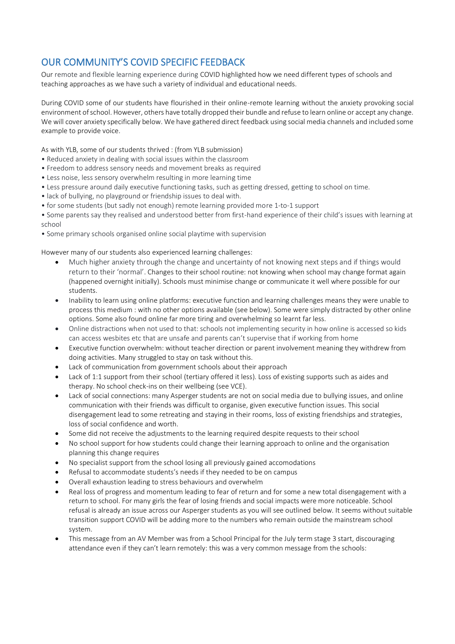# OUR COMMUNITY'S COVID SPECIFIC FEEDBACK

Our remote and flexible learning experience during COVID highlighted how we need different types of schools and teaching approaches as we have such a variety of individual and educational needs.

During COVID some of our students have flourished in their online-remote learning without the anxiety provoking social environment of school. However, others have totally dropped their bundle and refuse to learn online or accept any change. We will cover anxiety specifically below. We have gathered direct feedback using social media channels and included some example to provide voice.

As with YLB, some of our students thrived : (from YLB submission)

- Reduced anxiety in dealing with social issues within the classroom
- Freedom to address sensory needs and movement breaks as required
- Less noise, less sensory overwhelm resulting in more learning time
- Less pressure around daily executive functioning tasks, such as getting dressed, getting to school on time.
- lack of bullying, no playground or friendship issues to deal with.
- for some students (but sadly not enough) remote learning provided more 1-to-1 support
- Some parents say they realised and understood better from first-hand experience of their child's issues with learning at school
- Some primary schools organised online social playtime with supervision

However many of our students also experienced learning challenges:

- Much higher anxiety through the change and uncertainty of not knowing next steps and if things would return to their 'normal'. Changes to their school routine: not knowing when school may change format again (happened overnight initially). Schools must minimise change or communicate it well where possible for our students.
- Inability to learn using online platforms: executive function and learning challenges means they were unable to process this medium : with no other options available (see below). Some were simply distracted by other online options. Some also found online far more tiring and overwhelming so learnt far less.
- Online distractions when not used to that: schools not implementing security in how online is accessed so kids can access wesbites etc that are unsafe and parents can't supervise that if working from home
- Executive function overwhelm: without teacher direction or parent involvement meaning they withdrew from doing activities. Many struggled to stay on task without this.
- Lack of communication from government schools about their approach
- Lack of 1:1 support from their school (tertiary offered it less). Loss of existing supports such as aides and therapy. No school check-ins on their wellbeing (see VCE).
- Lack of social connections: many Asperger students are not on social media due to bullying issues, and online communication with their friends was difficult to organise, given executive function issues. This social disengagement lead to some retreating and staying in their rooms, loss of existing friendships and strategies, loss of social confidence and worth.
- Some did not receive the adjustments to the learning required despite requests to their school
- No school support for how students could change their learning approach to online and the organisation planning this change requires
- No specialist support from the school losing all previously gained accomodations
- Refusal to accommodate students's needs if they needed to be on campus
- Overall exhaustion leading to stress behaviours and overwhelm
- Real loss of progress and momentum leading to fear of return and for some a new total disengagement with a return to school. For many girls the fear of losing friends and social impacts were more noticeable. School refusal is already an issue across our Asperger students as you will see outlined below. It seems without suitable transition support COVID will be adding more to the numbers who remain outside the mainstream school system.
- This message from an AV Member was from a School Principal for the July term stage 3 start, discouraging attendance even if they can't learn remotely: this was a very common message from the schools: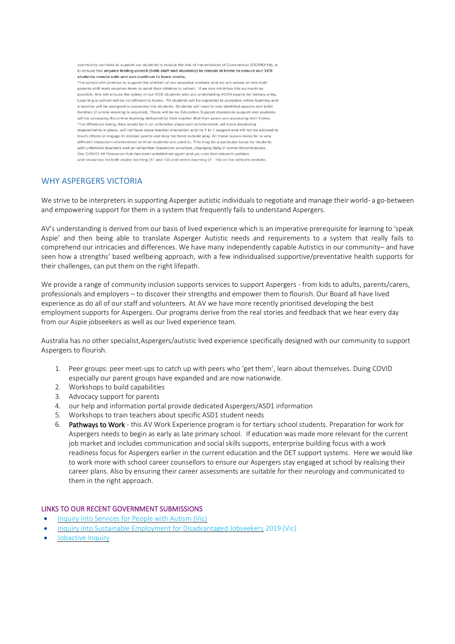community can take to support our students is reduce the risk of transmission of Coronavirus (COVID-19), is to ensure that anyone feeling unwell (both staff and students) to remain at home to ensure our VCE students remain safe and can continue to learn onsite.

The school will continue to support the children of our essential workers and we are aware at time both parents shift work requires them to send their children to school. If we can minimise this as much as possible, this will ensure the safety of our VCE students who are undertaking VCAA exams for tertiary entry. Learning at school will be no different to home. All students will be expected to complete online learning and a teacher will be assigned to supervise the students. Students will need to use identified spaces and toilet facilities (if onsite learning is required). There will be no Education Support classroom support and students will be accessing the online learning delivered by their teacher that their peers are accessing from home. The difference being, they would be in an unfamiliar classroom environment, will have distancing requirements in place, will not have close teacher interaction and no 1 to 1 support and will not be allowed to touch others or engage in contact sports and may not have outside play. All these issues make for a very different classroom environment to what students are used to. This may be a particular issue for students with unfamiliar teachers and an unfamiliar classroom structure, changing daily in some circumstances Our COVID-19 Resource Hub has been established again and you can find relevant updates and resources for both onsite learning (11 and 12) and online learning (7 - 10) on the school's website.

#### WHY ASPERGERS VICTORIA

We strive to be interpreters in supporting Asperger autistic individuals to negotiate and manage their world- a go-between and empowering support for them in a system that frequently fails to understand Aspergers.

AV's understanding is derived from our basis of lived experience which is an imperative prerequisite for learning to 'speak Aspie' and then being able to translate Asperger Autistic needs and requirements to a system that really fails to comprehend our intricacies and differences. We have many independently capable Autistics in our community– and have seen how a strengths' based wellbeing approach, with a few individualised supportive/preventative health supports for their challenges, can put them on the right lifepath.

We provide a range of community inclusion supports services to support Aspergers - from kids to adults, parents/carers, professionals and employers – to discover their strengths and empower them to flourish. Our Board all have lived experience as do all of our staff and volunteers. At AV we have more recently prioritised developing the best employment supports for Aspergers. Our programs derive from the real stories and feedback that we hear every day from our Aspie jobseekers as well as our lived experience team.

Australia has no other specialist,Aspergers/autistic lived experience specifically designed with our community to support Aspergers to flourish.

- 1. Peer groups: peer meet-ups to catch up with peers who 'get them', learn about themselves. Duing COVID especially our parent groups have expanded and are now nationwide.
- 2. Workshops to build capabilities
- 3. Advocacy support for parents
- 4. our help and information portal provide dedicated Aspergers/ASD1 information
- 5. Workshops to train teachers about specific ASD1 student needs
- 6. Pathways to Work this AV Work Experience program is for tertiary school students. Preparation for work for Aspergers needs to begin as early as late primary school. If education was made more relevant for the current job market and includes communication and social skills supports, enterprise building focus with a work readiness focus for Aspergers earlier in the current education and the DET support systems. Here we would like to work more with school career counsellors to ensure our Aspergers stay engaged at school by realising their career plans. Also by ensuring their career assessments are suitable for their neurology and communicated to them in the right approach.

#### LINKS TO OUR RECENT GOVERNMENT SUBMISSIONS

- [Inquiry into Services for People with Autism \(Vic\)](https://www.parliament.vic.gov.au/400-fcdc/inquiry-into-services-for-people-with-autism-spectrum-disorder)
- [Inquiry into Sustainable Employment for Disadvantaged Jobseekers](https://www.parliament.vic.gov.au/964-eic-la/inquiry-into-sustainable-employment-for-disadvantaged-jobseekers) 2019 (Vic)
- [Jobactive Inquiry](https://www.aph.gov.au/Parliamentary_Business/Committees/Senate/Education_and_Employment/JobActive2018/Submissions)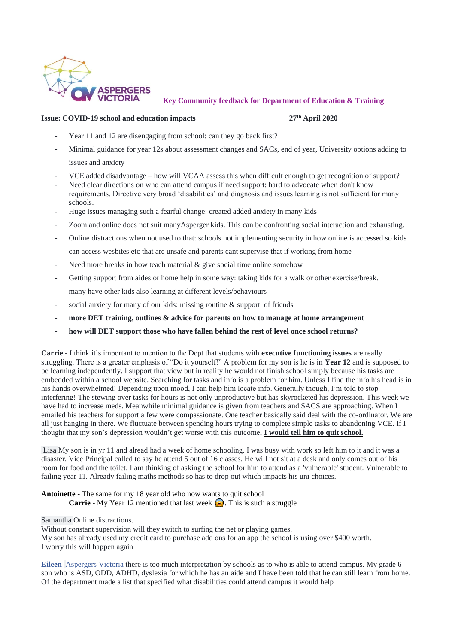

 **Key Community feedback for Department of Education & Training**

#### **Issue: COVID-19 school and education impacts 27th April 2020**

- Year 11 and 12 are disengaging from school: can they go back first?
- Minimal guidance for year 12s about assessment changes and SACs, end of year, University options adding to issues and anxiety
- VCE added disadvantage how will VCAA assess this when difficult enough to get recognition of support?
- Need clear directions on who can attend campus if need support: hard to advocate when don't know requirements. Directive very broad 'disabilities' and diagnosis and issues learning is not sufficient for many schools.
- Huge issues managing such a fearful change: created added anxiety in many kids
- Zoom and online does not suit manyAsperger kids. This can be confronting social interaction and exhausting.
- Online distractions when not used to that: schools not implementing security in how online is accessed so kids can access wesbites etc that are unsafe and parents cant supervise that if working from home
- Need more breaks in how teach material  $\&$  give social time online somehow
- Getting support from aides or home help in some way: taking kids for a walk or other exercise/break.
- many have other kids also learning at different levels/behaviours
- social anxiety for many of our kids: missing routine & support of friends
- **more DET training, outlines & advice for parents on how to manage at home arrangement**
- how will DET support those who have fallen behind the rest of level once school returns?

**Carrie** - I think it's important to mention to the Dept that students with **executive functioning issues** are really struggling. There is a greater emphasis of "Do it yourself!" A problem for my son is he is in **Year 12** and is supposed to be learning independently. I support that view but in reality he would not finish school simply because his tasks are embedded within a school website. Searching for tasks and info is a problem for him. Unless I find the info his head is in his hands overwhelmed! Depending upon mood, I can help him locate info. Generally though, I'm told to stop interfering! The stewing over tasks for hours is not only unproductive but has skyrocketed his depression. This week we have had to increase meds. Meanwhile minimal guidance is given from teachers and SACS are approaching. When I emailed his teachers for support a few were compassionate. One teacher basically said deal with the co-ordinator. We are all just hanging in there. We fluctuate between spending hours trying to complete simple tasks to abandoning VCE. If I thought that my son's depression wouldn't get worse with this outcome, **I would tell him to quit school.** 

Lisa My son is in yr 11 and alread had a week of home schooling. I was busy with work so left him to it and it was a disaster. Vice Principal called to say he attend 5 out of 16 classes. He will not sit at a desk and only comes out of his room for food and the toilet. I am thinking of asking the school for him to attend as a 'vulnerable' student. Vulnerable to failing year 11. Already failing maths methods so has to drop out which impacts his uni choices.

- **Antoinette -** The same for my 18 year old who now wants to quit school **Carrie** - My Year 12 mentioned that last week . This is such a struggle
- Samantha Online distractions.

Without constant supervision will they switch to surfing the net or playing games. My son has already used my credit card to purchase add ons for an app the school is using over \$400 worth. I worry this will happen again

**[Eileen](https://www.facebook.com/eileen.burtonharding?fref=ufi&rc=p)** [Aspergers Victoria](https://www.facebook.com/www.aspergersvic.org/?hc_location=ufi) there is too much interpretation by schools as to who is able to attend campus. My grade 6 son who is ASD, ODD, ADHD, dyslexia for which he has an aide and I have been told that he can still learn from home. Of the department made a list that specified what disabilities could attend campus it would help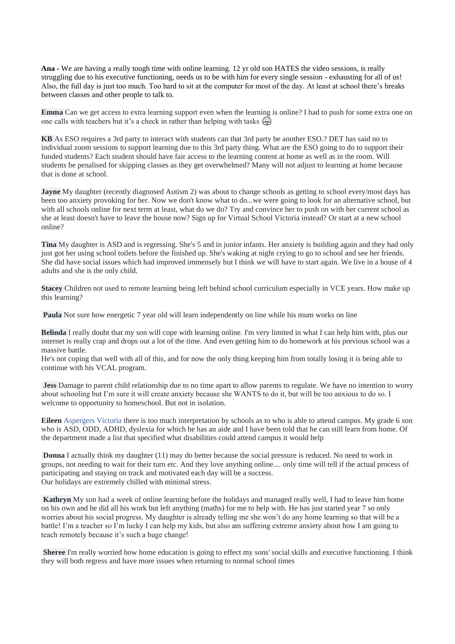**Ana -** We are having a really tough time with online learning. 12 yr old son HATES the video sessions, is really struggling due to his executive functioning, needs us to be with him for every single session - exhausting for all of us! Also, the full day is just too much. Too hard to sit at the computer for most of the day. At least at school there's breaks between classes and other people to talk to.

**Emma** Can we get access to extra learning support even when the learning is online? I had to push for some extra one on one calls with teachers but it's a check in rather than helping with tasks  $\widehat{\Theta}$ 

**KB** As ESO requires a 3rd party to interact with students can that 3rd party be another ESO.? DET has said no to individual zoom sessions to support learning due to this 3rd party thing. What are the ESO going to do to support their funded students? Each student should have fair access to the learning content at home as well as in the room. Will students be penalised for skipping classes as they get overwhelmed? Many will not adjust to learning at home because that is done at school.

**Jayne** My daughter (recently diagnosed Autism 2) was about to change schools as getting to school every/most days has been too anxiety provoking for her. Now we don't know what to do...we were going to look for an alternative school, but with all schools online for next term at least, what do we do? Try and convince her to push on with her current school as she at least doesn't have to leave the house now? Sign up for Virtual School Victoria instead? Or start at a new school online?

**Tina** My daughter is ASD and is regressing. She's 5 and in junior infants. Her anxiety is building again and they had only just got her using school toilets before the finished up. She's waking at night crying to go to school and see her friends. She did have social issues which had improved immensely but I think we will have to start again. We live in a house of 4 adults and she is the only child.

**Stacey** Children not used to remote learning being left behind school curriculum especially in VCE years. How make up this learning?

**Paula** Not sure how energetic 7 year old will learn independently on line while his mum works on line

**Belinda** I really doubt that my son will cope with learning online. I'm very limited in what I can help him with, plus our internet is really crap and drops out a lot of the time. And even getting him to do homework at his previous school was a massive battle.

He's not coping that well with all of this, and for now the only thing keeping him from totally losing it is being able to continue with his VCAL program.

**Jess** Damage to parent child relationship due to no time apart to allow parents to regulate. We have no intention to worry about schooling but I'm sure it will create anxiety because she WANTS to do it, but will be too anxious to do so. I welcome to opportunity to homeschool. But not in isolation.

**Eileen** [Aspergers Victoria](https://www.facebook.com/www.aspergersvic.org/?hc_location=ufi) there is too much interpretation by schools as to who is able to attend campus. My grade 6 son who is ASD, ODD, ADHD, dyslexia for which he has an aide and I have been told that he can still learn from home. Of the department made a list that specified what disabilities could attend campus it would help

**Donna** I actually think my daughter (11) may do better because the social pressure is reduced. No need to work in groups, not needing to wait for their turn etc. And they love anything online.... only time will tell if the actual process of participating and staying on track and motivated each day will be a success. Our holidays are extremely chilled with minimal stress.

**Kathryn** My son had a week of online learning before the holidays and managed really well, I had to leave him home on his own and he did all his work but left anything (maths) for me to help with. He has just started year 7 so only worries about his social progress. My daughter is already telling me she won't do any home learning so that will be a battle! I'm a teacher so I'm lucky I can help my kids, but also am suffering extreme anxiety about how I am going to teach remotely because it's such a huge change!

**Sheree** I'm really worried how home education is going to effect my sons' social skills and executive functioning. I think they will both regress and have more issues when returning to normal school times